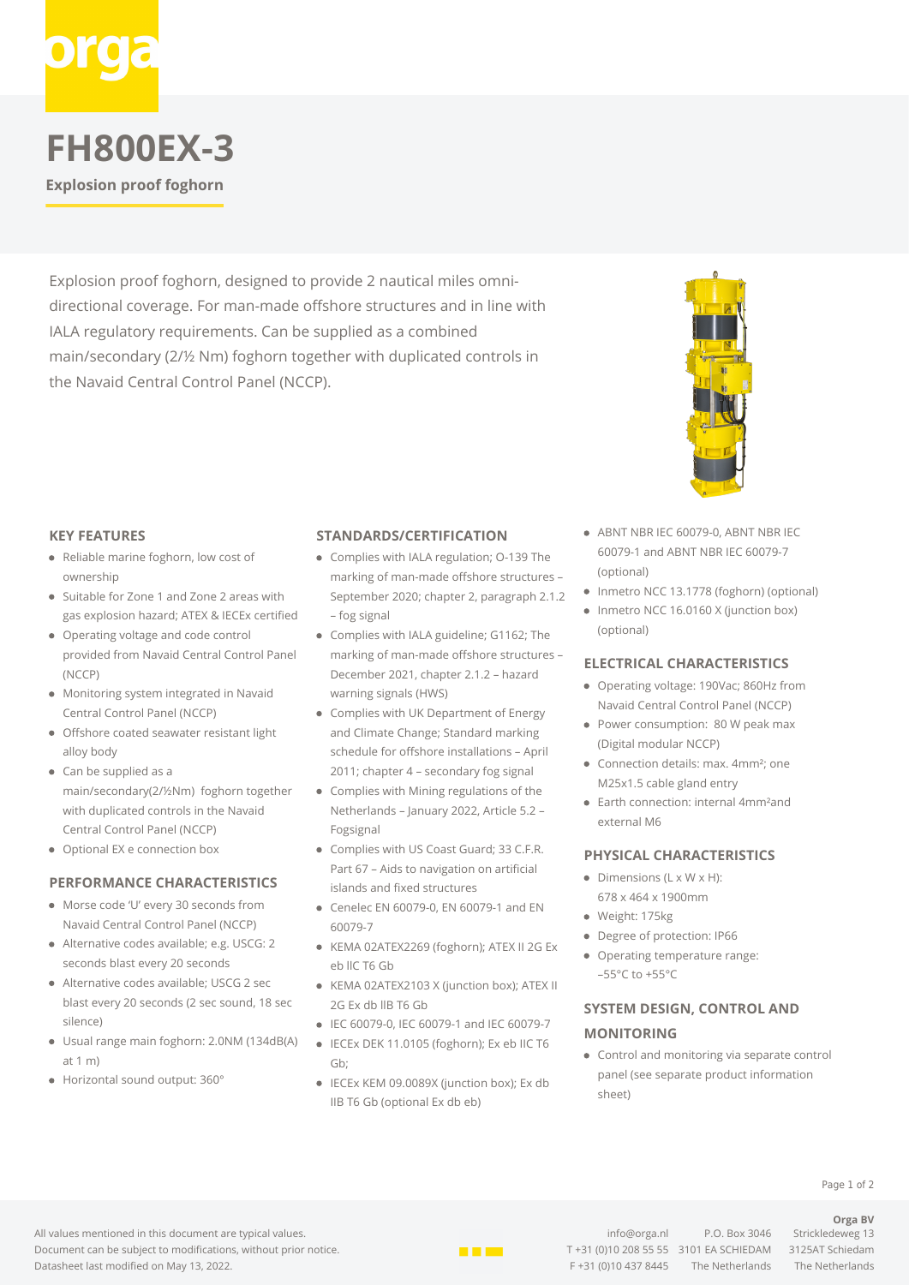

# **FH800EX-3**

**Explosion proof foghorn**

Explosion proof foghorn, designed to provide 2 nautical miles omnidirectional coverage. For man-made offshore structures and in line with IALA regulatory requirements. Can be supplied as a combined main/secondary (2/½ Nm) foghorn together with duplicated controls in the Navaid Central Control Panel (NCCP).



#### **KEY FEATURES**

- Reliable marine foghorn, low cost of ownership
- Suitable for Zone 1 and Zone 2 areas with gas explosion hazard; ATEX & IECEx certified
- Operating voltage and code control provided from Navaid Central Control Panel (NCCP)
- Monitoring system integrated in Navaid Central Control Panel (NCCP)
- Offshore coated seawater resistant light alloy body
- Can be supplied as a main/secondary(2/½Nm) foghorn together with duplicated controls in the Navaid Central Control Panel (NCCP)
- Optional EX e connection box

#### **PERFORMANCE CHARACTERISTICS**

- Morse code 'U' every 30 seconds from Navaid Central Control Panel (NCCP)
- Alternative codes available; e.g. USCG: 2 seconds blast every 20 seconds
- Alternative codes available; USCG 2 sec blast every 20 seconds (2 sec sound, 18 sec silence)
- Usual range main foghorn: 2.0NM (134dB(A) at 1 m)
- Horizontal sound output: 360°

#### **STANDARDS/CERTIFICATION**

- Complies with IALA regulation; O-139 The marking of man-made offshore structures – September 2020; chapter 2, paragraph 2.1.2 – fog signal
- Complies with IALA guideline; G1162; The marking of man-made offshore structures – December 2021, chapter 2.1.2 – hazard warning signals (HWS)
- Complies with UK Department of Energy and Climate Change; Standard marking schedule for offshore installations – April 2011; chapter 4 – secondary fog signal
- Complies with Mining regulations of the Netherlands – January 2022, Article 5.2 – Fogsignal
- Complies with US Coast Guard; 33 C.F.R. Part 67 – Aids to navigation on artificial islands and fixed structures
- Cenelec EN 60079-0, EN 60079-1 and EN 60079-7
- KEMA 02ATEX2269 (foghorn); ATEX II 2G Ex eb llC T6 Gb
- KEMA 02ATEX2103 X (junction box); ATEX II 2G Ex db llB T6 Gb
- IEC 60079-0, IEC 60079-1 and IEC 60079-7
- IECEx DEK 11.0105 (foghorn); Ex eb IIC T6 Gb;
- IECEx KEM 09.0089X (junction box); Ex db IIB T6 Gb (optional Ex db eb)
- ABNT NBR IEC 60079-0, ABNT NBR IEC 60079-1 and ABNT NBR IEC 60079-7 (optional)
- Inmetro NCC 13.1778 (foghorn) (optional)
- Inmetro NCC 16.0160 X (junction box) (optional)

#### **ELECTRICAL CHARACTERISTICS**

- Operating voltage: 190Vac; 860Hz from Navaid Central Control Panel (NCCP)
- Power consumption: 80 W peak max (Digital modular NCCP)
- Connection details: max. 4mm<sup>2</sup>: one M25x1.5 cable gland entry
- Earth connection: internal 4mm²and external M6

#### **PHYSICAL CHARACTERISTICS**

- $\bullet$  Dimensions (L x W x H): 678 x 464 x 1900mm
- Weight: 175kg
- Degree of protection: IP66
- Operating temperature range:  $-55^{\circ}$ C to  $+55^{\circ}$ C

### **SYSTEM DESIGN, CONTROL AND MONITORING**

Control and monitoring via separate control panel (see separate product information sheet)

All values mentioned in this document are typical values. Document can be subject to modifications, without prior notice. Datasheet last modified on May 13, 2022.



[info@orga.nl](mailto:info@orga.nl) P.O. Box 3046 Strickledeweg 13 T +31 (0)10 208 55 55 3101 EA SCHIEDAM 3125AT Schiedam F +31 (0)10 437 8445 The Netherlands The Netherlands

**Orga BV**